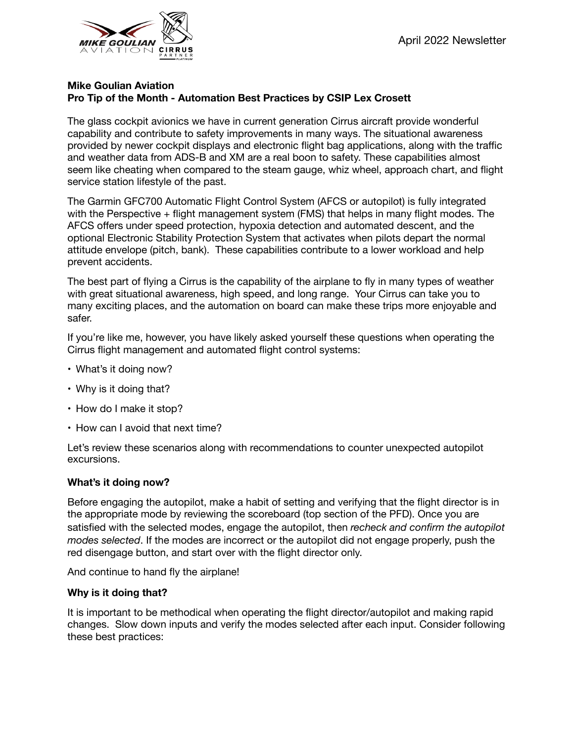

# **Mike Goulian Aviation Pro Tip of the Month - Automation Best Practices by CSIP Lex Crosett**

The glass cockpit avionics we have in current generation Cirrus aircraft provide wonderful capability and contribute to safety improvements in many ways. The situational awareness provided by newer cockpit displays and electronic flight bag applications, along with the traffic and weather data from ADS-B and XM are a real boon to safety. These capabilities almost seem like cheating when compared to the steam gauge, whiz wheel, approach chart, and flight service station lifestyle of the past.

The Garmin GFC700 Automatic Flight Control System (AFCS or autopilot) is fully integrated with the Perspective + flight management system (FMS) that helps in many flight modes. The AFCS offers under speed protection, hypoxia detection and automated descent, and the optional Electronic Stability Protection System that activates when pilots depart the normal attitude envelope (pitch, bank). These capabilities contribute to a lower workload and help prevent accidents.

The best part of flying a Cirrus is the capability of the airplane to fly in many types of weather with great situational awareness, high speed, and long range. Your Cirrus can take you to many exciting places, and the automation on board can make these trips more enjoyable and safer.

If you're like me, however, you have likely asked yourself these questions when operating the Cirrus flight management and automated flight control systems:

- What's it doing now?
- Why is it doing that?
- How do I make it stop?
- How can I avoid that next time?

Let's review these scenarios along with recommendations to counter unexpected autopilot excursions.

## **What's it doing now?**

Before engaging the autopilot, make a habit of setting and verifying that the flight director is in the appropriate mode by reviewing the scoreboard (top section of the PFD). Once you are satisfied with the selected modes, engage the autopilot, then *recheck and confirm the autopilot modes selected*. If the modes are incorrect or the autopilot did not engage properly, push the red disengage button, and start over with the flight director only.

And continue to hand fly the airplane!

## **Why is it doing that?**

It is important to be methodical when operating the flight director/autopilot and making rapid changes. Slow down inputs and verify the modes selected after each input. Consider following these best practices: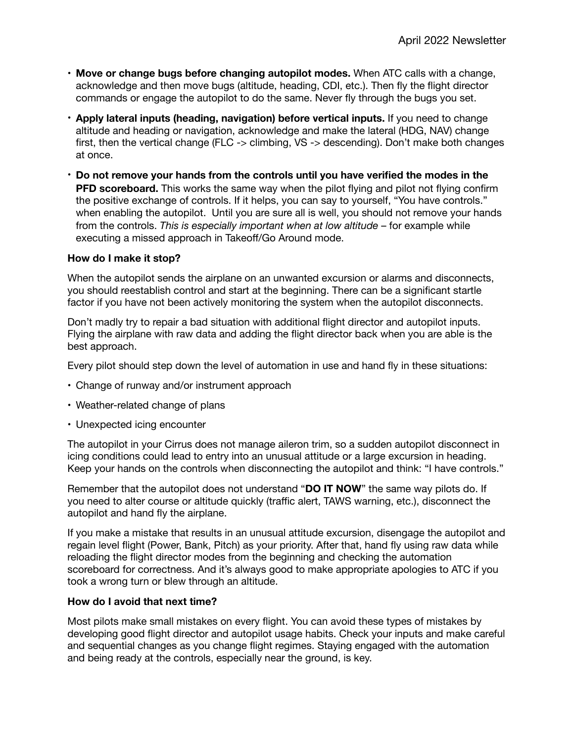- **Move or change bugs before changing autopilot modes.** When ATC calls with a change, acknowledge and then move bugs (altitude, heading, CDI, etc.). Then fly the flight director commands or engage the autopilot to do the same. Never fly through the bugs you set.
- **Apply lateral inputs (heading, navigation) before vertical inputs.** If you need to change altitude and heading or navigation, acknowledge and make the lateral (HDG, NAV) change first, then the vertical change (FLC -> climbing, VS -> descending). Don't make both changes at once.
- **Do not remove your hands from the controls until you have verified the modes in the PFD scoreboard.** This works the same way when the pilot flying and pilot not flying confirm the positive exchange of controls. If it helps, you can say to yourself, "You have controls." when enabling the autopilot. Until you are sure all is well, you should not remove your hands from the controls. *This is especially important when at low altitude* – for example while executing a missed approach in Takeoff/Go Around mode.

## **How do I make it stop?**

When the autopilot sends the airplane on an unwanted excursion or alarms and disconnects, you should reestablish control and start at the beginning. There can be a significant startle factor if you have not been actively monitoring the system when the autopilot disconnects.

Don't madly try to repair a bad situation with additional flight director and autopilot inputs. Flying the airplane with raw data and adding the flight director back when you are able is the best approach.

Every pilot should step down the level of automation in use and hand fly in these situations:

- Change of runway and/or instrument approach
- Weather-related change of plans
- Unexpected icing encounter

The autopilot in your Cirrus does not manage aileron trim, so a sudden autopilot disconnect in icing conditions could lead to entry into an unusual attitude or a large excursion in heading. Keep your hands on the controls when disconnecting the autopilot and think: "I have controls."

Remember that the autopilot does not understand "**DO IT NOW**" the same way pilots do. If you need to alter course or altitude quickly (traffic alert, TAWS warning, etc.), disconnect the autopilot and hand fly the airplane.

If you make a mistake that results in an unusual attitude excursion, disengage the autopilot and regain level flight (Power, Bank, Pitch) as your priority. After that, hand fly using raw data while reloading the flight director modes from the beginning and checking the automation scoreboard for correctness. And it's always good to make appropriate apologies to ATC if you took a wrong turn or blew through an altitude.

#### **How do I avoid that next time?**

Most pilots make small mistakes on every flight. You can avoid these types of mistakes by developing good flight director and autopilot usage habits. Check your inputs and make careful and sequential changes as you change flight regimes. Staying engaged with the automation and being ready at the controls, especially near the ground, is key.